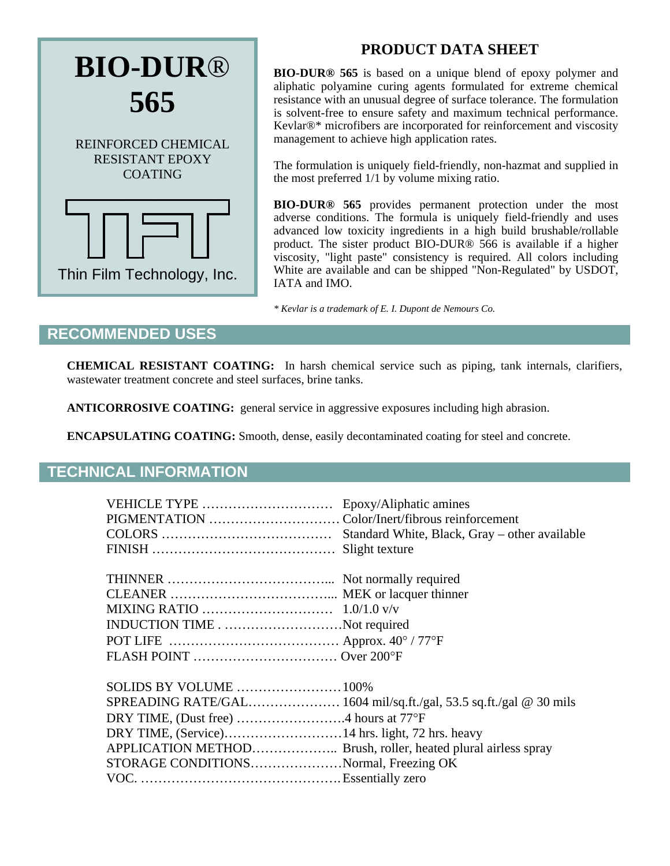

# **PRODUCT DATA SHEET**

**BIO-DUR® 565** is based on a unique blend of epoxy polymer and aliphatic polyamine curing agents formulated for extreme chemical resistance with an unusual degree of surface tolerance. The formulation is solvent-free to ensure safety and maximum technical performance. Kevlar®\* microfibers are incorporated for reinforcement and viscosity management to achieve high application rates.

The formulation is uniquely field-friendly, non-hazmat and supplied in the most preferred 1/1 by volume mixing ratio.

**BIO-DUR® 565** provides permanent protection under the most adverse conditions. The formula is uniquely field-friendly and uses advanced low toxicity ingredients in a high build brushable/rollable product. The sister product BIO-DUR® 566 is available if a higher viscosity, "light paste" consistency is required. All colors including White are available and can be shipped "Non-Regulated" by USDOT, IATA and IMO.

*\* Kevlar is a trademark of E. I. Dupont de Nemours Co.* 

### **RECOMMENDED USES**

**CHEMICAL RESISTANT COATING:** In harsh chemical service such as piping, tank internals, clarifiers, wastewater treatment concrete and steel surfaces, brine tanks.

**ANTICORROSIVE COATING:** general service in aggressive exposures including high abrasion.

**ENCAPSULATING COATING:** Smooth, dense, easily decontaminated coating for steel and concrete.

### **TECHNICAL INFORMATION**

| INDUCTION TIMENot required            |                                                                   |
|---------------------------------------|-------------------------------------------------------------------|
|                                       |                                                                   |
| FLASH POINT  Over 200°F               |                                                                   |
| SOLIDS BY VOLUME 100%                 |                                                                   |
|                                       | SPREADING RATE/GAL 1604 mil/sq.ft./gal, 53.5 sq.ft./gal @ 30 mils |
| DRY TIME, (Dust free) 4 hours at 77°F |                                                                   |
|                                       |                                                                   |
|                                       |                                                                   |
| STORAGE CONDITIONSNormal, Freezing OK |                                                                   |
|                                       |                                                                   |
|                                       |                                                                   |